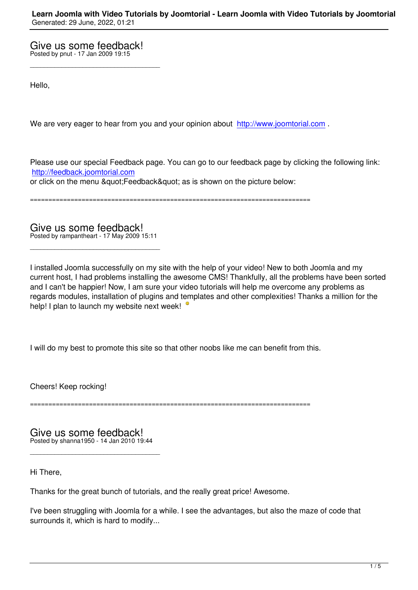\_\_\_\_\_\_\_\_\_\_\_\_\_\_\_\_\_\_\_\_\_\_\_\_\_\_\_\_\_\_\_\_\_\_\_\_\_

Hello,

We are very eager to hear from you and your opinion about http://www.joomtorial.com.

Please use our special Feedback page. You can go to our fe[edback page by clicking th](http://www.joomtorial.com)e following link: http://feedback.joomtorial.com or click on the menu & quot: Feedback& quot: as is shown on the picture below:

============================================================================

Give us some feedback! Posted by rampantheart - 17 May 2009 15:11

\_\_\_\_\_\_\_\_\_\_\_\_\_\_\_\_\_\_\_\_\_\_\_\_\_\_\_\_\_\_\_\_\_\_\_\_\_

I installed Joomla successfully on my site with the help of your video! New to both Joomla and my current host, I had problems installing the awesome CMS! Thankfully, all the problems have been sorted and I can't be happier! Now, I am sure your video tutorials will help me overcome any problems as regards modules, installation of plugins and templates and other complexities! Thanks a million for the help! I plan to launch my website next week!

I will do my best to promote this site so that other noobs like me can benefit from this.

Cheers! Keep rocking!

============================================================================

Give us some feedback! Posted by shanna1950 - 14 Jan 2010 19:44

\_\_\_\_\_\_\_\_\_\_\_\_\_\_\_\_\_\_\_\_\_\_\_\_\_\_\_\_\_\_\_\_\_\_\_\_\_

Hi There,

Thanks for the great bunch of tutorials, and the really great price! Awesome.

I've been struggling with Joomla for a while. I see the advantages, but also the maze of code that surrounds it, which is hard to modify...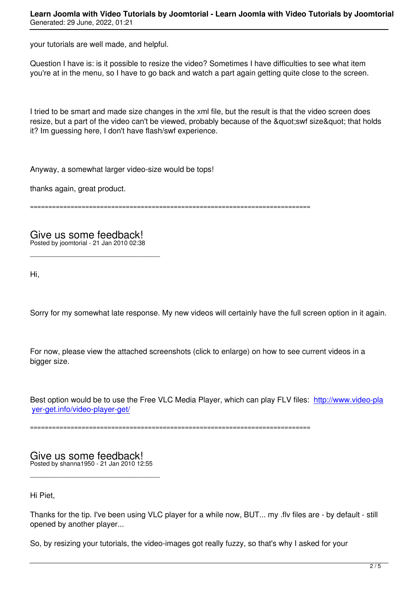your tutorials are well made, and helpful.

Question I have is: is it possible to resize the video? Sometimes I have difficulties to see what item you're at in the menu, so I have to go back and watch a part again getting quite close to the screen.

I tried to be smart and made size changes in the xml file, but the result is that the video screen does resize, but a part of the video can't be viewed, probably because of the " swf size" that holds it? Im guessing here, I don't have flash/swf experience.

Anyway, a somewhat larger video-size would be tops!

thanks again, great product.

============================================================================

Give us some feedback! Posted by joomtorial - 21 Jan 2010 02:38

\_\_\_\_\_\_\_\_\_\_\_\_\_\_\_\_\_\_\_\_\_\_\_\_\_\_\_\_\_\_\_\_\_\_\_\_\_

Hi,

Sorry for my somewhat late response. My new videos will certainly have the full screen option in it again.

For now, please view the attached screenshots (click to enlarge) on how to see current videos in a bigger size.

Best option would be to use the Free VLC Media Player, which can play FLV files: http://www.video-pla yer-get.info/video-player-get/

============================================================================

Give us some feedback! Posted by shanna1950 - 21 Jan 2010 12:55

\_\_\_\_\_\_\_\_\_\_\_\_\_\_\_\_\_\_\_\_\_\_\_\_\_\_\_\_\_\_\_\_\_\_\_\_\_

Hi Piet,

Thanks for the tip. I've been using VLC player for a while now, BUT... my .flv files are - by default - still opened by another player...

So, by resizing your tutorials, the video-images got really fuzzy, so that's why I asked for your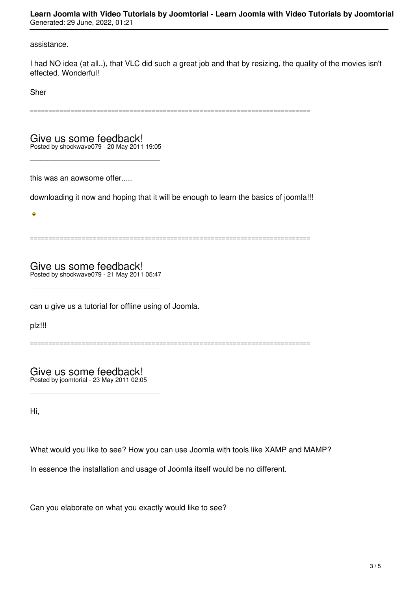**Learn Joomla with Video Tutorials by Joomtorial - Learn Joomla with Video Tutorials by Joomtorial** Generated: 29 June, 2022, 01:21

assistance.

I had NO idea (at all..), that VLC did such a great job and that by resizing, the quality of the movies isn't effected. Wonderful!

Sher

============================================================================

Give us some feedback! Posted by shockwave079 - 20 May 2011 19:05

\_\_\_\_\_\_\_\_\_\_\_\_\_\_\_\_\_\_\_\_\_\_\_\_\_\_\_\_\_\_\_\_\_\_\_\_\_

this was an aowsome offer.....

downloading it now and hoping that it will be enough to learn the basics of joomla!!!

============================================================================

Give us some feedback! Posted by shockwave079 - 21 May 2011 05:47

\_\_\_\_\_\_\_\_\_\_\_\_\_\_\_\_\_\_\_\_\_\_\_\_\_\_\_\_\_\_\_\_\_\_\_\_\_

can u give us a tutorial for offline using of Joomla.

plz!!!

 $\sqrt{2}$ 

============================================================================

Give us some feedback! Posted by joomtorial - 23 May 2011 02:05

\_\_\_\_\_\_\_\_\_\_\_\_\_\_\_\_\_\_\_\_\_\_\_\_\_\_\_\_\_\_\_\_\_\_\_\_\_

Hi,

What would you like to see? How you can use Joomla with tools like XAMP and MAMP?

In essence the installation and usage of Joomla itself would be no different.

Can you elaborate on what you exactly would like to see?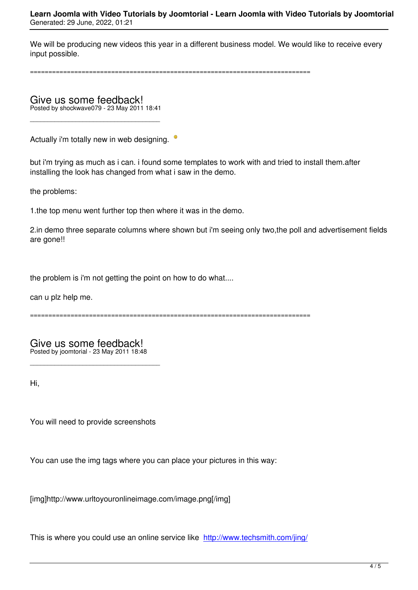We will be producing new videos this year in a different business model. We would like to receive every input possible.

============================================================================

Give us some feedback! Posted by shockwave079 - 23 May 2011 18:41

\_\_\_\_\_\_\_\_\_\_\_\_\_\_\_\_\_\_\_\_\_\_\_\_\_\_\_\_\_\_\_\_\_\_\_\_\_

Actually i'm totally new in web designing. <sup>•</sup>

but i'm trying as much as i can. i found some templates to work with and tried to install them.after installing the look has changed from what i saw in the demo.

the problems:

1.the top menu went further top then where it was in the demo.

2.in demo three separate columns where shown but i'm seeing only two,the poll and advertisement fields are gone!!

the problem is i'm not getting the point on how to do what....

can u plz help me.

============================================================================

Give us some feedback! Posted by joomtorial - 23 May 2011 18:48

\_\_\_\_\_\_\_\_\_\_\_\_\_\_\_\_\_\_\_\_\_\_\_\_\_\_\_\_\_\_\_\_\_\_\_\_\_

Hi,

You will need to provide screenshots

You can use the img tags where you can place your pictures in this way:

[img]http://www.urltoyouronlineimage.com/image.png[/img]

This is where you could use an online service like http://www.techsmith.com/jing/